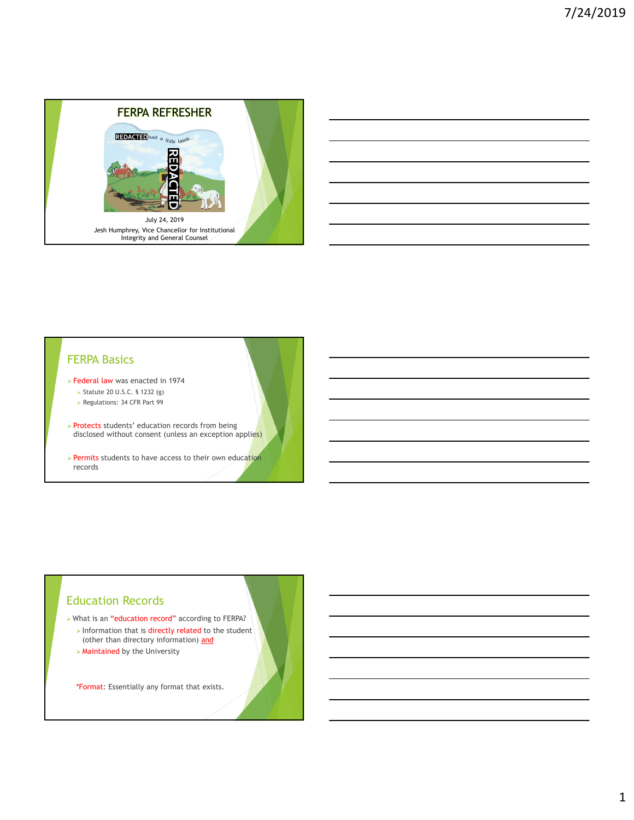

## FERPA Basics

- Federal law was enacted in 1974
	- Statute 20 U.S.C. § 1232 (g)
	- Regulations: 34 CFR Part 99
- > Protects students' education records from being disclosed without consent (unless an exception applies)
- > Permits students to have access to their own education records

## Education Records

- What is an "education record" according to FERPA?
- $\triangleright$  Information that is directly related to the student (other than directory information) and
- $\triangleright$  Maintained by the University

\*Format: Essentially any format that exists.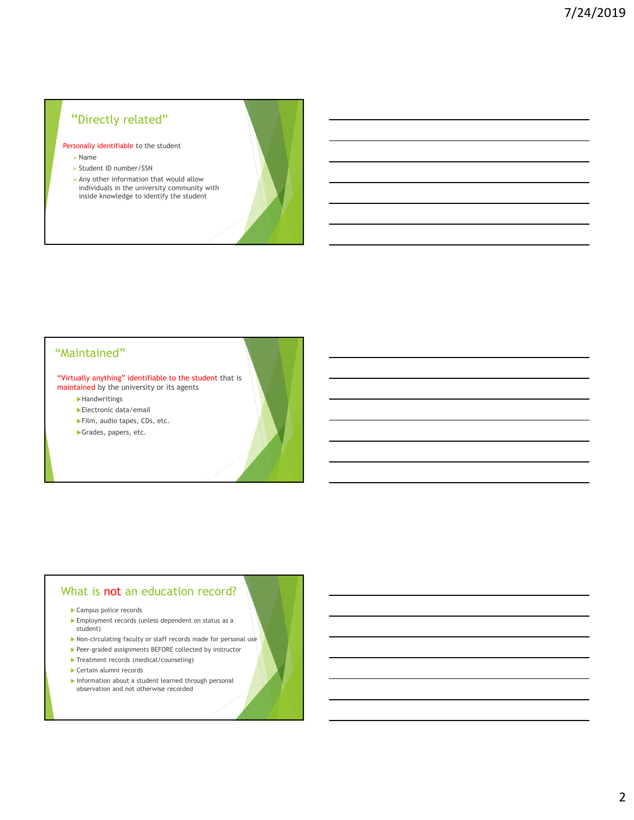# "Directly related"

Personally identifiable to the student

- Name
- Student ID number/SSN
- $\triangleright$  Any other information that would allow individuals in the university community with inside knowledge to identify the student

## "Maintained"

"Virtually anything" identifiable to the student that is maintained by the university or its agents

- **Handwritings**
- Electronic data/email
- Film, audio tapes, CDs, etc.
- Grades, papers, etc.

#### What is not an education record?

- Campus police records
- Employment records (unless dependent on status as a student)
- Non-circulating faculty or staff records made for personal use
- Peer-graded assignments BEFORE collected by instructor
- Treatment records (medical/counseling)
- Certain alumni records
- Information about a student learned through personal observation and not otherwise recorded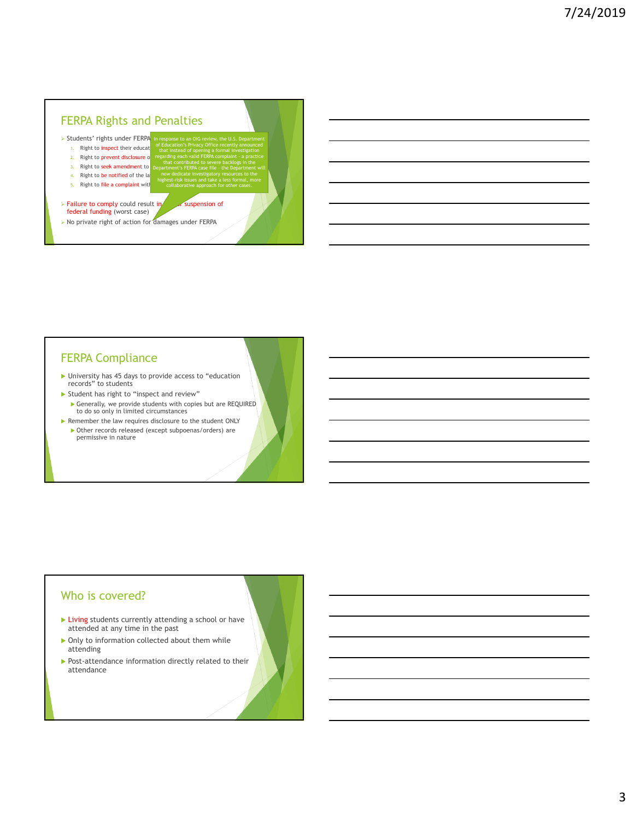# FERPA Rights and Penalties

- > Students' rights under FERPA
	- 1. Right to *inspect* their educat 2. Right to prevent disclosure of of Education's Privacy Office recently announced regarding each valid FERPA complaint – a practice

Department's FERPA case file – the Department will

- 3. Right to **seek amendment** to
- 4. Right to be notified of the law
- 
- 5. Right to file a complaint with highest-risk issues and take a less formal, more
- $\triangleright$  Failure to comply could result in loss or suspension of federal funding (worst case)
- $\triangleright$  No private right of action for damages under FERPA

# FERPA Compliance

- University has 45 days to provide access to "education records" to students
- Student has right to "inspect and review" Generally, we provide students with copies but are REQUIRED to do so only in limited circumstances
- Remember the law requires disclosure to the student ONLY Other records released (except subpoenas/orders) are permissive in nature

### Who is covered?

- **Living students currently attending a school or have** attended at any time in the past
- $\triangleright$  Only to information collected about them while attending
- Post-attendance information directly related to their attendance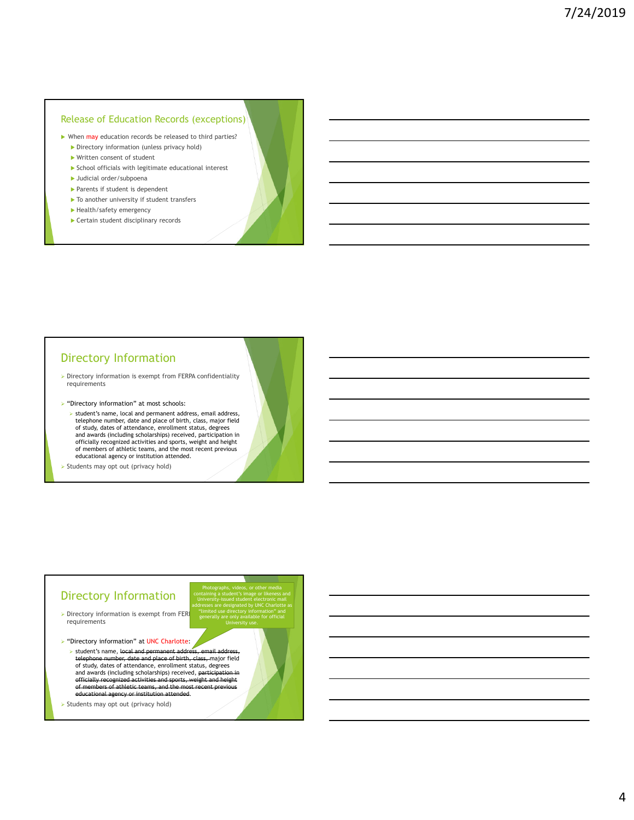### Release of Education Records (exceptions)

- When may education records be released to third parties?
	- Directory information (unless privacy hold)
	- Written consent of student School officials with legitimate educational interest
	- Judicial order/subpoena
	- Parents if student is dependent
	- $\blacktriangleright$  To another university if student transfers
	- Health/safety emergency
	- Certain student disciplinary records

### Directory Information

- $\triangleright$  Directory information is exempt from FERPA confidentiality requirements
- $\blacktriangleright$  "Directory information" at most schools:
	- $\triangleright$  student's name, local and permanent address, email address, telephone number, date and place of birth, class, major field of study, dates of attendance, enrollment status, degrees and awards (including scholarships) received, participation in officially recognized activities and sports, weight and height of members of athletic teams, and the most recent previous educational agency or institution attended.

 $\triangleright$  Students may opt out (privacy hold)

### Directory Information

- $\triangleright$  Directory information is exempt from FER requirements
- > "Directory information" at UNC Charlotte:
	- student's name, local and permant address telephone number, date and place date and place of birth, class, major field of study, dates of attendance, enrollment status, degrees and awards (including scholarships) received, participation in the efficially recognized activities and sports, weight in officially recognized activities and sports<br>of members of athletic teams, and the m of members of athletic teams, and the most recent previous educational agency or institution attended.

Photographs, videos, or other media containing a student's image or likeness and University-issued student electronic mail addresses are designated by UNC Charlotte as "limited use directory information" and generally are only available for official University use.

 $\triangleright$  Students may opt out (privacy hold)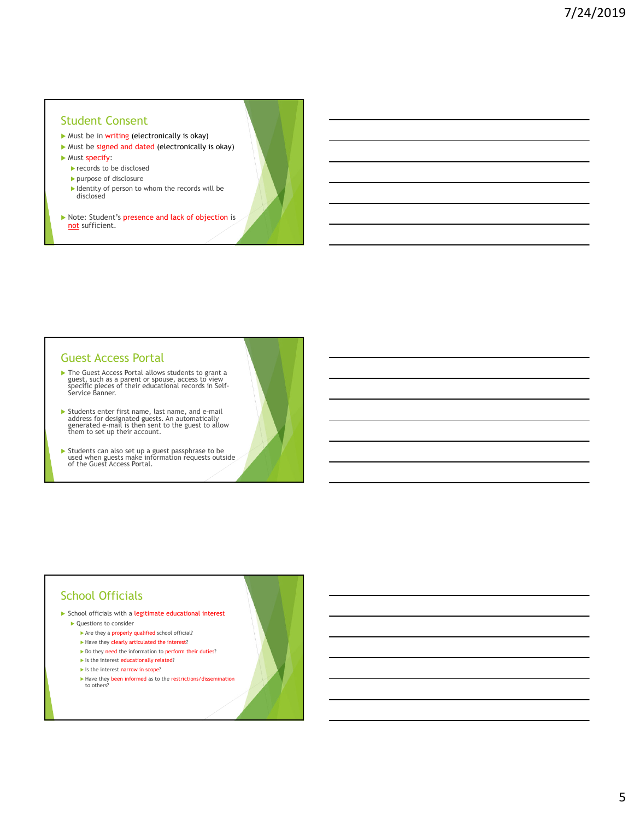### Student Consent

- $\blacktriangleright$  Must be in writing (electronically is okay)
- $\blacktriangleright$  Must be signed and dated (electronically is okay)
- **Must specify:** 
	- records to be disclosed
	- purpose of disclosure
	- I Identity of person to whom the records will be disclosed
- Note: Student's presence and lack of objection is not sufficient.

### Guest Access Portal

- The Guest Access Portal allows students to grant a guest, such as a parent or spouse, access to view specific pieces of their educational records in Self-Service Banner.
- Students enter first name, last name, and e-mail address for designated guests. An automatically generated e-mail is then sent to the guest to allow them to set up their account.
- Students can also set up a guest passphrase to be used when guests make information requests outside of the Guest Access Portal.

## School Officials

- $\blacktriangleright$  School officials with a legitimate educational interest
	- ▶ Questions to consider
		- $\blacktriangleright$  Are they a properly qualified school official?
		- $\blacktriangleright$  Have they clearly articulated the interest?
		- Do they need the information to perform their duties?
		- $\blacktriangleright$  Is the interest educationally related?
		- In Is the interest narrow in scope?
		- ► Have they been informed as to the restrictions/dissemination to others?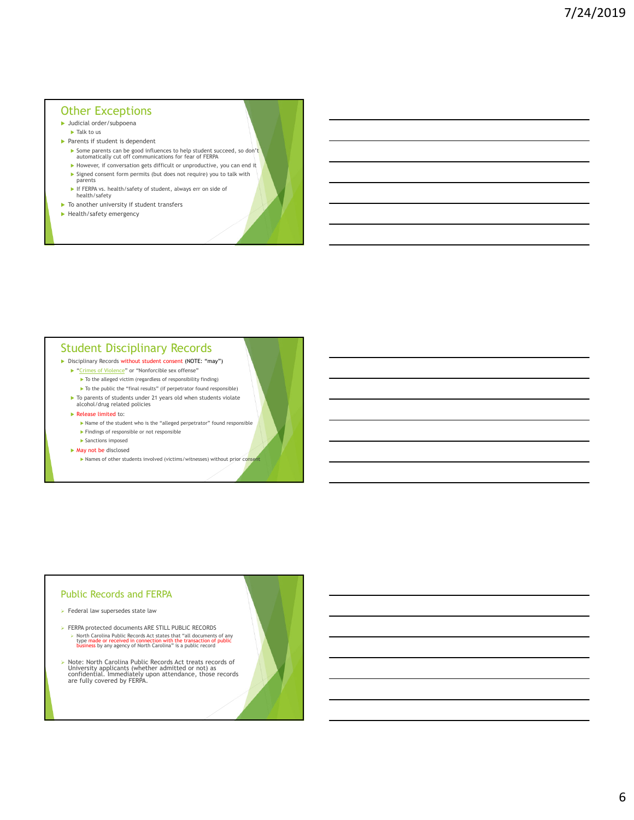### Other Exceptions

- Judicial order/subpoena
- Talk to us
- $\blacktriangleright$  Parents if student is dependent
	- ▶ Some parents can be good influences to help student succeed, so don't<br>automatically cut off communications for fear of FERPA  $\blacktriangleright$  However, if conversation gets difficult or unproductive, you can end it
	- Signed consent form permits (but does not require) you to talk with parents
	- If FERPA vs. health/safety of student, always err on side of
	- health/safety
- $\blacktriangleright$  To another university if student transfers
- $\blacktriangleright$  Health/safety emergency

### Student Disciplinary Records

- Disciplinary Records without student consent (NOTE: "may")
	- ▶ "Crimes of Violence" or "Nonforcible sex offense"
		- $\blacktriangleright$  To the alleged victim (regardless of responsibility finding)
	- $\blacktriangleright$  To the public the "final results" (if perpetrator found responsible)  $\blacktriangleright$  To parents of students under 21 years old when students violate alcohol/drug related policies
	- $\blacktriangleright$  Release limited to:
		- Name of the student who is the "alleged perpetrator" found responsible
		- $\blacktriangleright$  Findings of responsible or not responsible
		- Sanctions imposed
	- ▶ May not be disclosed
		- Names of other students involved (victims/witnesses) without prior conservation

#### Public Records and FERPA

- $\triangleright$  Federal law supersedes state law
- FERPA protected documents ARE STILL PUBLIC RECORDS North Carolina Public Records Act states that "all documents of any type made or received in connection with the transaction of public business by any agency of North Carolina" is a public record
- Note: North Carolina Public Records Act treats records of University applicants (whether admitted or not) as confidential. Immediately upon attendance, those records are fully covered by FERPA.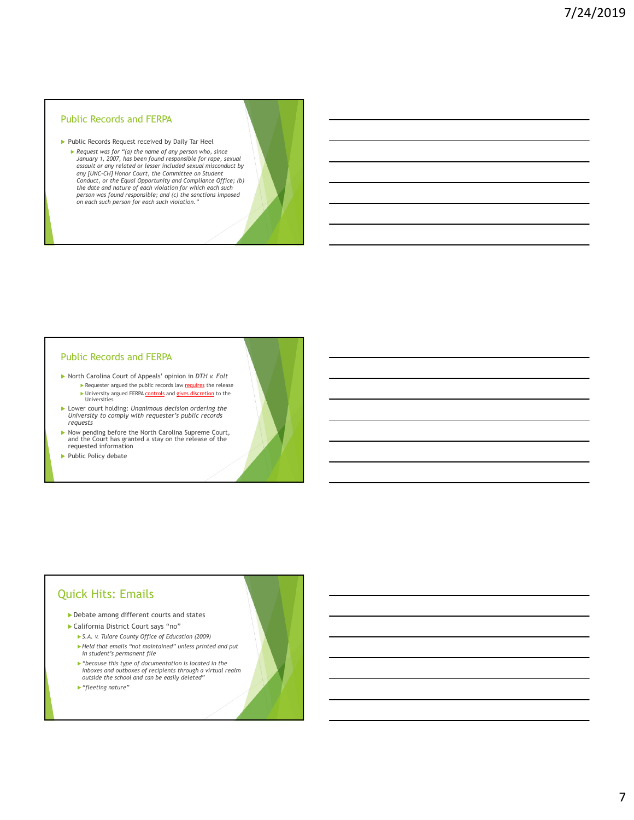#### Public Records and FERPA

Public Records Request received by Daily Tar Heel *Request was for "(a) the name of any person who, since January 1, 2007, has been found responsible for rape, sexual assault or any related or lesser included sexual misconduct by any [UNC-CH] Honor Court, the Committee on Student Conduct, or the Equal Opportunity and Compliance Office; (b) the date and nature of each violation for which each such person was found responsible; and (c) the sanctions imposed on each such person for each such violation."*

#### Public Records and FERPA

- North Carolina Court of Appeals' opinion in *DTH v. Folt* Requester argued the public records law requires the release ▶ University argued FERPA controls and gives discretion to the Universities
- Lower court holding: *Unanimous decision ordering the University to comply with requester's public records requests*
- Now pending before the North Carolina Supreme Court, and the Court has granted a stay on the release of the requested information
- Public Policy debate

## Quick Hits: Emails

- Debate among different courts and states
- California District Court says "no"
	- *S.A. v. Tulare County Office of Education (2009) Held that emails "not maintained" unless printed and put in student's permanent file*
	- *"because this type of documentation is located in the inboxes and outboxes of recipients through a virtual realm outside the school and can be easily deleted"*
	- *"fleeting nature"*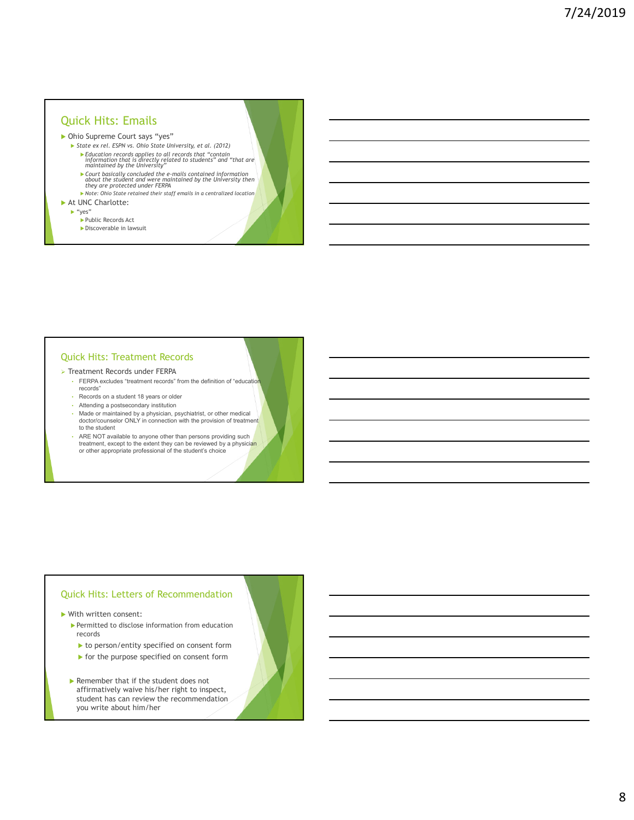### Quick Hits: Emails

#### Ohio Supreme Court says "yes"

- *State ex rel. ESPN vs. Ohio State University, et al. (2012) Education records applies to all records that "contain information that is directly related to students" and "that are maintained by the University"*
	- *Court basically concluded the e-mails contained information about the student and were maintained by the University then they are protected under FERPA*
- *Note: Ohio State retained their staff emails in a centralized location* At UNC Charlotte:
	-
	- "yes"
		- ▶ Public Records Act Discoverable in lawsuit

#### Quick Hits: Treatment Records

- **> Treatment Records under FERPA** 
	- FERPA excludes "treatment records" from the definition of "education" records"
	- Records on a student 18 years or older
	- Attending a postsecondary institution
	- Made or maintained by a physician, psychiatrist, or other medical doctor/counselor ONLY in connection with the provision of treatment to the student
	- ARE NOT available to anyone other than persons providing such treatment, except to the extent they can be reviewed by a physician or other appropriate professional of the student's choice

#### Quick Hits: Letters of Recommendation

With written consent:

- $\blacktriangleright$  Permitted to disclose information from education records
	- $\blacktriangleright$  to person/entity specified on consent form
	- $\blacktriangleright$  for the purpose specified on consent form
- Remember that if the student does not affirmatively waive his/her right to inspect, student has can review the recommendation you write about him/her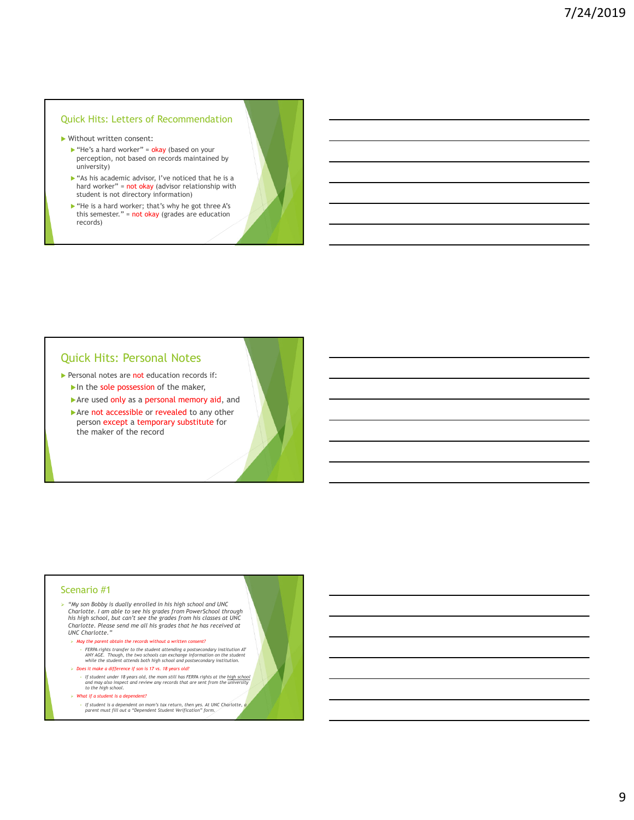#### Quick Hits: Letters of Recommendation

- Without written consent:
	- $\blacktriangleright$  "He's a hard worker" = okay (based on your perception, not based on records maintained by university)
	- $\triangleright$  "As his academic advisor, I've noticed that he is a hard worker" =  $not$  okay (advisor relationship with student is not directory information)
	- ▶ "He is a hard worker; that's why he got three A's this semester." = not okay (grades are education records)

### Quick Hits: Personal Notes

- Personal notes are not education records if:
	- In the sole possession of the maker,
	- Are used only as a personal memory aid, and
	- Are not accessible or revealed to any other person except a temporary substitute for the maker of the record

#### Scenario #1

- *"My son Bobby is dually enrolled in his high school and UNC Charlotte. I am able to see his grades from PowerSchool through his high school, but can't see the grades from his classes at UNC Charlotte. Please send me all his grades that he has received at UNC Charlotte."*
	- *May the parent obtain the records without a written consent?*
		- FERPA rights transfer to the student attending a postsecondary institution AT<br>ANY AGE. Though, the two schools can exchange information on the student<br>while the student attends both high school and postsecondary institut
	- *Does it make a difference if son is 17 vs. 18 years old?*
		- *If student under 18 years old, the mom still has FERPA rights at the high school and may also inspect and review any records that are sent from the university to the high school.*
	- *What if a student is a dependent?*
		- *If student is a dependent on mom's tax return, then yes. At UNC Charlotte, a parent must fill out a "Dependent Student Verification" form.*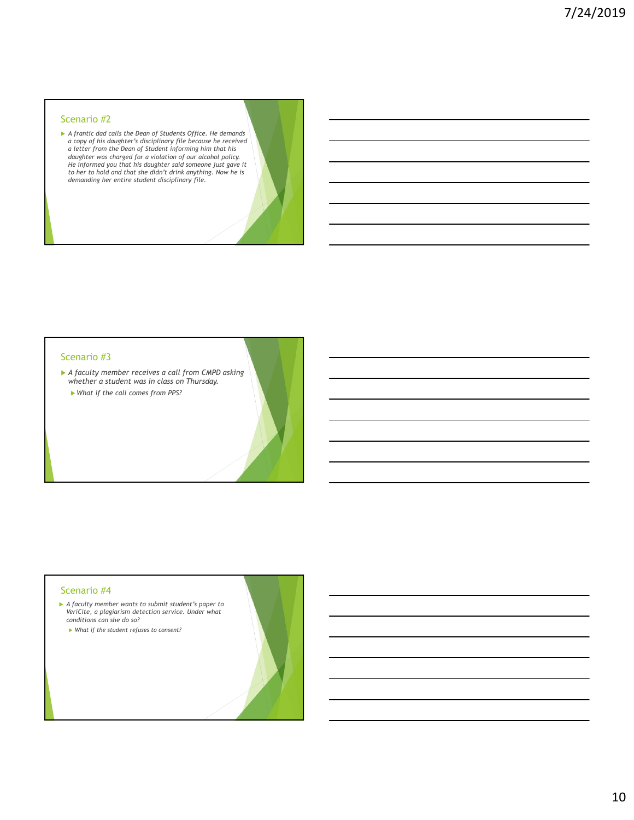#### Scenario #2

A frantic dad calls the Dean of Students Office. He demands<br>a copy of his daughter's disciplinary file because he received<br>a letter from the Dean of Student informing him that his<br>daughter was charged for a violation of o *demanding her entire student disciplinary file.* 

#### Scenario #3

 *A faculty member receives a call from CMPD asking whether a student was in class on Thursday. What if the call comes from PPS?*

#### Scenario #4

- *A faculty member wants to submit student's paper to VeriCite, a plagiarism detection service. Under what conditions can she do so?*
	- *What if the student refuses to consent?*